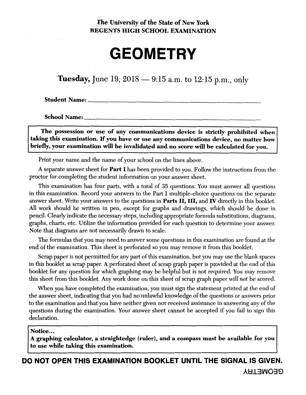# The University of the State of New York REGENTS HIGH SCHOOL EXAMINATION

# **GEOMETRY**

**Tuesday,** June 19,  $2018 - 9:15$  a.m. to  $12:15$  p.m., only

**Student Name:** 

**School Name:** 

The possession or use of any communications device is strictly prohibited when taking this examination. If you have or use any communications device, no matter how briefly, your examination will be invalidated and no score will be calculated for you.

Print your name and the name of your school on the lines above.

A separate answer sheet for **Part I** has been provided to you. Follow the instructions from the proctor for completing the student information on your answer sheet.

This examination has four parts, with a total of 35 questions. You must answer all questions in this examination. Record your answers to the Part I multiple-choice questions on the separate answer sheet. Write your answers to the questions in **Parts II, III,** and **IV** directly in this booklet. All work should be written in pen, except for graphs and drawings, which should be done in pencil. Clearly indicate the necessary steps, including appropriate formula substitutions, diagrams, graphs, charts, etc. Utilize the information provided for each question to determine your answer. Note that diagrams are not necessarily drawn to scale.

The formulas that you may need to answer some questions in this examination are found at the end of the examination. This sheet is perforated so you may remove it from this booklet.

Scrap paper is not permitted for any part of this examination, but you may use the blank spaces in this booklet as scrap paper. A perforated sheet of scrap graph paper is provided at the end of this booklet for any question for which graphing may be helpful but is not required. You may remove this sheet from this booklet. Any work done on this sheet of scrap graph paper will *not* be scored.

When you have completed the examination, you must sign the statement printed at the end of the answer sheet, indicating that you had no unlawful knowledge of the questions or answers prior to the examination and that you have neither given nor received assistance in answering any of the questions during the examination. Your answer sheet cannot be accepted if you fail to sign this declaration.

### Notice... ,

A graphing calculator, a straightedge (ruler), and a compass must be available for you to use while taking this examination.

DO NOT OPEN THIS EXAMINATION BOOKLET UNTIL THE SIGNAL IS GIVEN. A~.l311'J03E>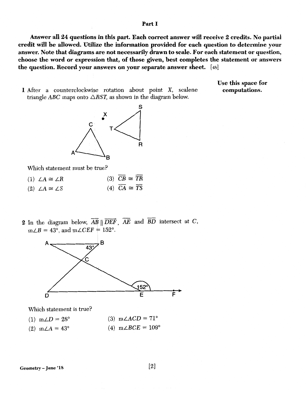#### Part I

Answer all 24 questions in this part. Each correct answer will receive 2 credits. No partial credit will be allowed. Utilize the information provided for each question to determine your answer. Note that diagrams are not necessarily drawn to scale. For each statement or question, choose the word or expression that, of those given, best completes the statement or answers the question. Record your answers on your separate answer sheet. [ 48]

1 After a counterclockwise rotation about point X, scalene triangle ABC maps onto  $\triangle RST$ , as shown in the diagram below.

s

Which statement must be true?

- $(1)$   $\angle A \cong \angle R$  $(2)$   $\angle A \cong \angle S$  $(3)$   $\overline{CB} \cong \overline{TR}$ (4)  $\overline{CA} \cong \overline{TS}$
- 2 In the diagram below,  $\overrightarrow{AB}$   $\parallel \overrightarrow{DEF}$ ,  $\overrightarrow{AE}$  and  $\overrightarrow{BD}$  intersect at C,  $m\angle B = 43^\circ$ , and  $m\angle CEF = 152^\circ$ .



Which statement is true?

 $(1)$   $m\angle D = 28^{\circ}$  $(2)$  m $\angle A = 43^\circ$ (3)  $m\angle ACD = 71^\circ$ (4)  $m\angle BCE = 109^{\circ}$ 

[2]

Use this space for computations.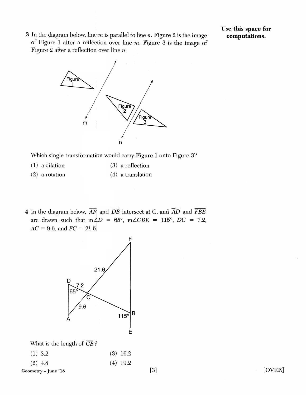3 In the diagram below, line *m* is parallel to line *n*. Figure 2 is the image of Figure 1 after a reflection over line *m.* Figure 3 is the image of Figure 2 after a reflection over line  $n$ .

Use **this** space **for computations.** 



Which single transformation would carry Figure 1 onto Figure 3?

- (1) a dilation ( 3) a reflection
- (2) a rotation  $(4)$  a translation
- 4 In the diagram below,  $\overline{AF}$  and  $\overline{DB}$  intersect at C, and  $\overline{AD}$  and  $\overline{FBE}$ are drawn such that  $m\angle D = 65^\circ$ ,  $m\angle CBE = 115^\circ$ ,  $DC = 7.2$ ,  $AC = 9.6$ , and  $FC = 21.6$ .



What is the length of  $\overline{CB}$ ?

| $(1)$ 3.2 | $(3)$ 16.2 |  |
|-----------|------------|--|
| $(2)$ 4.8 | $(4)$ 19.2 |  |

Geometry- June '18

[OVER]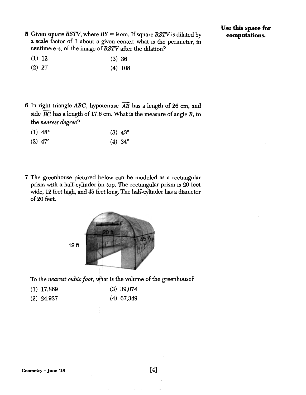**5** Given square *RSIV,* where *RS* = 9 cm. If square *RSIV* is dilated by a scale factor of 3 about a given center, what is the perimeter, in centimeters, of the image of *RSIV* after the dilation?

- (1) 12 (3) 36
- (2) 27 (4) 108
- **6** In right triangle ABC, hypotenuse AB has a length of 26 cm, and side  $\overline{BC}$  has a length of 17.6 cm. What is the measure of angle B, to the *nearest degree?* 
	- (1) 48° (3) 43°
	- (2) 47° (4) 34°
- **7** The greenhouse pictured below can be modeled as a rectangular prism with a half-cylinder on top. The rectangular prism is 20 feet wide, 12 feet high, and 45 feet long. The half-cylinder has a diameter of 20 feet.



To the *nearest cubic foot,* what is the volume of the greenhouse?

- **(1)** 17,869 (3) 39,074
- (2) 24,937 (4) 67,349

[4]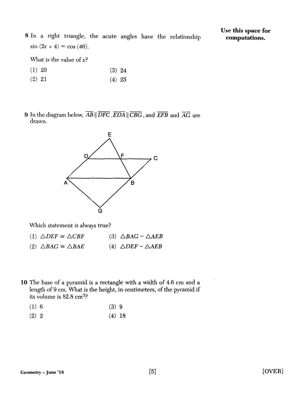8 In a right triangle, the acute angles have the relationship  $\sin (2x + 4) = \cos (46)$ .

What is the value of *x?* 

- (1) 20 (3) 24
- (2) 21 (4) 25
- 9 In the diagram below,  $\overline{AB}$  ||  $\overline{DFC}$ ,  $\overline{EDA}$  ||  $\overline{CBG}$ , and  $\overline{EFB}$  and  $\overline{AG}$  are drawn.



Which statement is always true?

|  | $(1) \triangle DEF \cong \triangle CBF$ | (3) $\triangle BAG \sim \triangle AEB$ |
|--|-----------------------------------------|----------------------------------------|
|--|-----------------------------------------|----------------------------------------|

- (2)  $\triangle BAG \cong \triangle BAE$ (4)  $\triangle DEF \sim \triangle AEB$
- 10 The base of a pyramid is a rectangle with a width of 4.6 cm and a length of 9 cm. What is the height, in centimeters, of the pyramid if its volume is 82.8 cm3?
	- (1) 6 (3) 9
	- (2) 2 (4) 18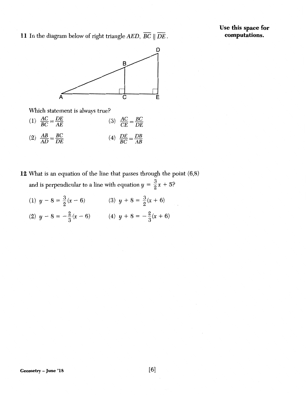**Use this space for computations.** 

**11** In the diagram below of right triangle *AED, BC* II *DE.* 



Which statement is always true?

- (1)  $\frac{AC}{BC} = \frac{DE}{AE}$  (3)  $\frac{AC}{CE} = \frac{BC}{DE}$ (2)  $\frac{AB}{AD} = \frac{BC}{DE}$ (4)  $\frac{DE}{BC} = \frac{DB}{AB}$
- **12** What is an equation of the line that passes through the point (6,8) and is perpendicular to a line with equation  $y = \frac{3}{2}x + 5$ ?
	- (1)  $y 8 = \frac{3}{2}(x 6)$  (3)  $y + 8 = \frac{3}{2}(x + 6)$
	- (2)  $y 8 = -\frac{2}{3}(x 6)$  (4)  $y + 8 = -\frac{2}{3}(x + 6)$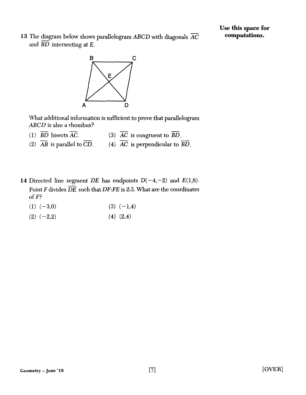13 The diagram below shows parallelogram  $ABCD$  with diagonals  $\overline{AC}$ and  $\overline{BD}$  intersecting at  $E$ .



What additional information is sufficient to prove that parallelogram ABCD is also a rhombus?

- (1)  $\overline{BD}$  bisects  $\overline{AC}$ . (3)  $\overline{AC}$  is congruent to  $\overline{BD}$ .
- (2)  $\overline{AB}$  is parallel to  $\overline{CD}$ . (4)  $\overline{AC}$  is perpendicular to  $\overline{BD}$ .
- 14 Directed line segment *DE* has endpoints  $D(-4,-2)$  and  $E(1,8)$ . Point *F* divides *DE* such that *DF:FE* is 2:3. What are the coordinates of F?
	- $(1)$   $(-3,0)$  $(3) (-1,4)$
	- $(2)$   $(-2,2)$ (4) (2,4)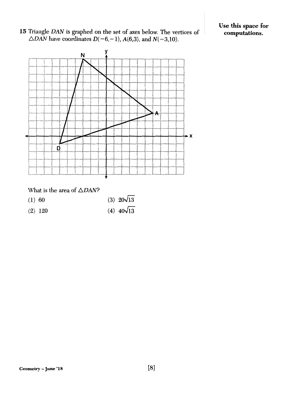15 Triangle *DAN* is graphed on the set of axes below. The vertices of  $\triangle$ DAN have coordinates D(-6,-1), A(6,3), and N(-3,10).

Use this space for computations.



## What is the area of  $\triangle DAN$ ?

- (1) 60 (3)  $20\sqrt{13}$
- (2) 120 (4)  $40\sqrt{13}$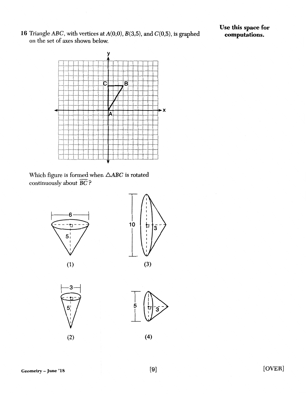**16** Triangle ABC, with vertices at A(O,O), B(3,5), and C(0,5), is graphed on the set of axes shown below.



Which figure is formed when  $\triangle ABC$  is rotated continuously about  $\overline{BC}$  ?



(1)



з  $5<sup>1</sup>$ 

(2)



(4)

Geometry-June '18

[OVER]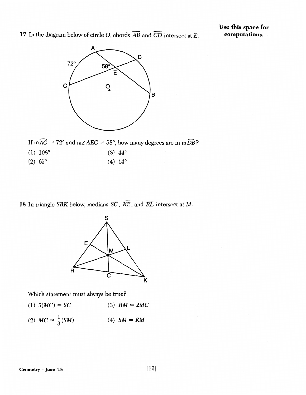**17** In the diagram below of circle 0, chords *AB* and *CD* intersect at *E.* 



If  $m\widehat{AC} = 72^{\circ}$  and  $m\angle AEC = 58^{\circ}$ , how many degrees are in  $m\widehat{DB}$ ?

- (1)  $108^{\circ}$  (3)  $44^{\circ}$
- (2) 65° (4) 14°

18 In triangle SRK below, medians  $\overline{SC}$ ,  $\overline{KE}$ , and  $\overline{RL}$  intersect at M.



Which statement must always be true?

- (1)  $3(MC) = SC$ (3)  $RM = 2MC$
- (2)  $MC = \frac{1}{3}(SM)$  $(4)$  *SM = KM*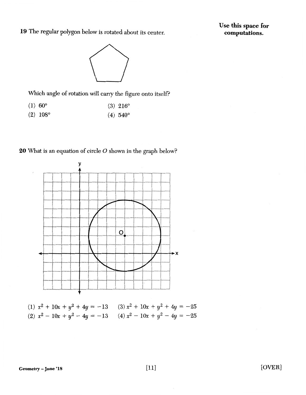19 The regular polygon below is rotated about its center.

Use this space for computations.



Which angle of rotation will carry the figure onto itself?

- $(1) 60^{\circ}$ (3) 216°
- (2) 108° (4)  $540^{\circ}$

20 What is an equation of circle O shown in the graph below?



(1)  $x^2 + 10x + y^2 + 4y = -13$ (2)  $x^2 - 10x + y^2 - 4y = -13$  $(3) x<sup>2</sup> + 10x + y<sup>2</sup> + 4y = -25$  $(4) x<sup>2</sup> - 10x + y<sup>2</sup> - 4y = -25$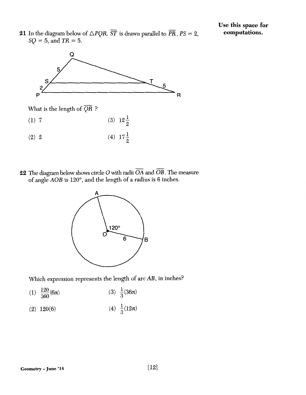21 In the diagram below of  $\triangle PQR$ ,  $\overline{ST}$  is drawn parallel to  $\overline{PR}$ ,  $PS=2$ , *SQ* = 5, and *TR* = 5.





22 The diagram below shows circle O with radii  $\overline{OA}$  and  $\overline{OB}$ . The measure of angle AOB is 120°, and the length of a radius is 6 inches.



Which expression represents the length of arc AB, in inches?

- (1)  $\frac{120}{360}$  (6 $\pi$ ) (3)  $\frac{1}{3}(36\pi)$
- (2) 120(6) (4)  $\frac{1}{3}(12\pi)$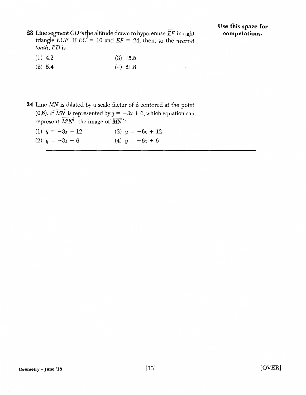23 Line segment  $CD$  is the altitude drawn to hypotenuse  $\overline{EF}$  in right triangle *ECF*. If  $EC^{\dagger} = 10$  and  $EF = 24$ , then, to the *nearest tenth, ED* is

- (1) 4.2 (3) 15.5
- (2) 5.4 (4) 21.8
- 24 Line MN is dilated by a scale factor of 2 centered at the point (0,6). If  $\overrightarrow{MN}$  is represented by  $y = -3x + 6$ , which equation can represent  $\overline{M'N'}$ , the image of  $\overline{MN}$ ?
	- (1)  $y = -3x + 12$ (2)  $y = -3x + 6$ (3)  $y = -6x + 12$ (4)  $y = -6x + 6$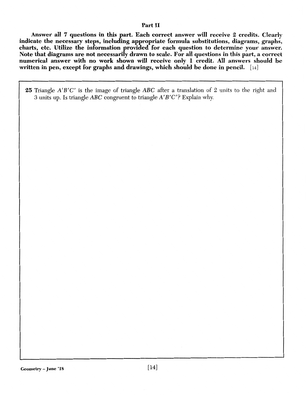## Part II

Answer all 7 questions in this part. Each correct answer will receive 2 credits. Clearly indicate the necessary steps, including appropriate formula substitutions, diagrams, graphs, charts, etc. Utilize the information provided for each question to determine your answer. Note that diagrams are not necessarily drawn to scale. For all questions in this part, a correct numerical answer with no work shown will receive only 1 credit. All answers should be written in pen, except for graphs and drawings, which should be done in pencil. [14]

25 Triangle A'B'C' is the image of triangle ABC after a translation of 2 units to the right and 3 units up. Is triangle ABC congruent to triangle A'B'C'? Explain why.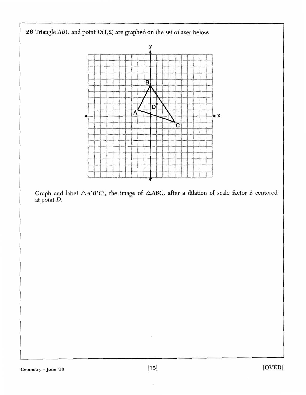

Graph and label  $\triangle A'B'C'$ , the image of  $\triangle ABC$ , after a dilation of scale factor 2 centered at point D.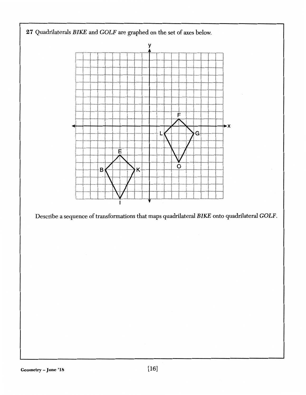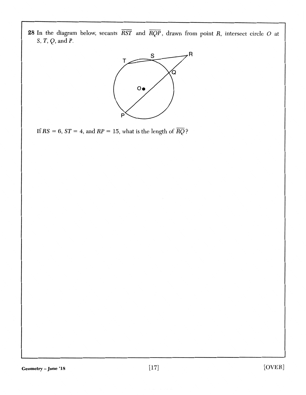**28** In the diagram below, secants *RST* and *RQP,* drawn from point *R,* intersect circle 0 at *S, T, Q,* and *P.* 



If  $RS = 6$ ,  $ST = 4$ , and  $RP = 15$ , what is the length of  $\overline{RQ}$ ?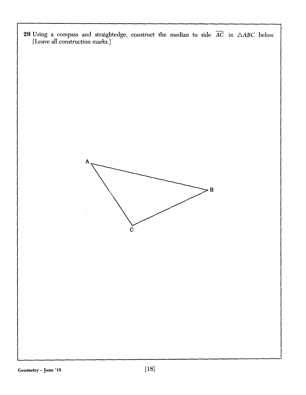**29** Using a compass and straightedge, construct the median to side  $AC$  in  $\triangle ABC$  below. [Leave all construction marks.] **A B c**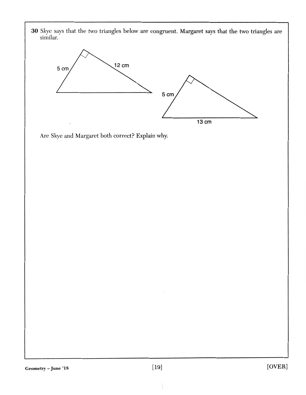**30** Skye says that the two triangles below are congruent. Margaret says that the two triangles are similar.



Are Skye and Margaret both correct? Explain why.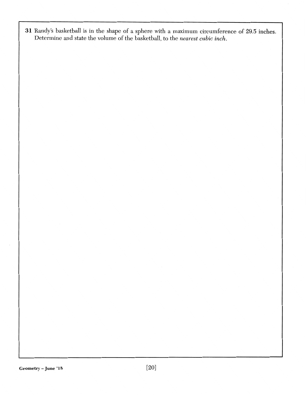31 Randy's basketball is in the shape of a sphere with a maximum circumference of 29.5 inches. Determine and state the volume of the basketball, to the *nearest cubic inch.*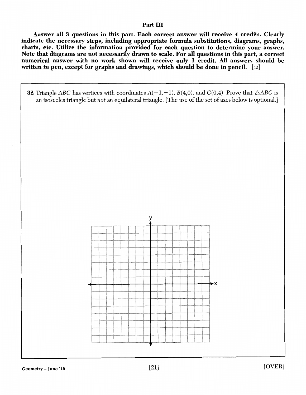## Part III

Answer all 3 questions in this part. Each correct answer will receive 4 credits. Clearly indicate the necessary steps, including appropriate formula substitutions, diagrams, graphs, charts, etc. Utilize the information provided for each question to determine your answer. Note that diagrams are not necessarily drawn to scale. For all questions in this part, a correct numerical answer with no work shown will receive only 1 credit. All answers should be written in pen, except for graphs and drawings, which should be done in pencil.  $[12]$ 

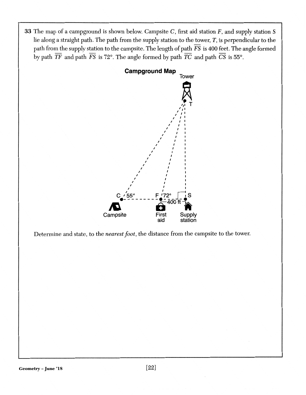**33** The map of a campground is shown below. Campsite C, first aid station F, and supply station S lie along a straight path. The path from the supply station to the tower, T, is perpendicular to the path from the supply station to the campsite. The length of path *FS* is 400 feet. The angle formed by path  $\overline{TF}$  and path  $\overline{FS}$  is 72°. The angle formed by path  $\overline{TC}$  and path  $\overline{CS}$  is 55°.



Determine and state, to the *nearest foot,* the distance from the campsite to the tower.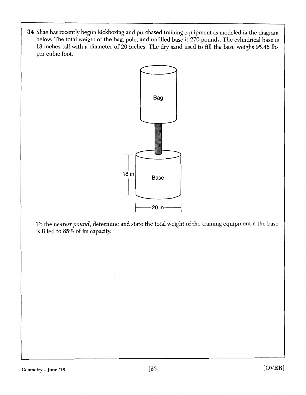**34** Shae has recently begun kickboxing and purchased training equipment as modeled in the diagram below. The total weight of the bag, pole, and unfilled base is 270 pounds. The cylindrical base is 18 inches tall with a diameter of 20 inches. The dry sand used to fill the base weighs 95.46 lbs per cubic foot.



To the *nearest pound,* determine and state the total weight of the training equipment if the base is filled to 85% of its capacity.